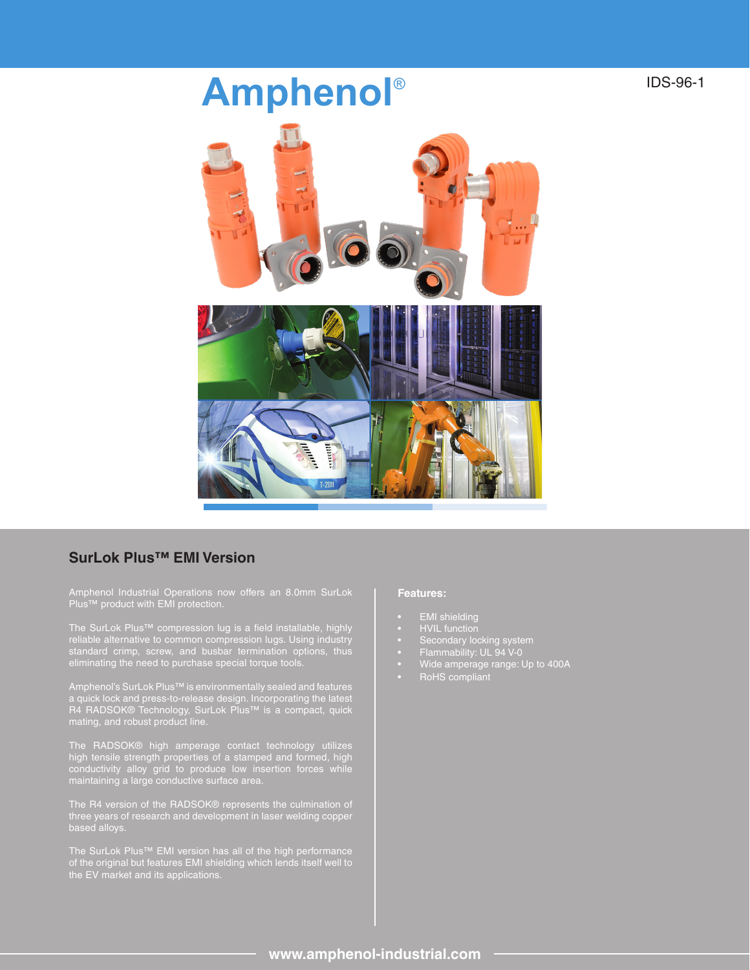## **Amphenol**®



## **SurLok Plus™ EMI Version**

The SurLok Plus™ compression lug is a field installable, highly reliable alternative to common compression lugs. Using industry eliminating the need to purchase special torque tools.

Amphenol's SurLok Plus™ is environmentally sealed and features a quick lock and press-to-release design. Incorporating the latest R4 RADSOK® Technology, SurLok Plus™ is a compact, quick mating, and robust product line.

The RADSOK® high amperage contact technology utilizes high tensile strength properties of a stamped and formed, high conductivity alloy grid to produce low insertion forces while maintaining a large conductive surface area.

The R4 version of the RADSOK® represents the culmination of three years of research and development in laser welding copper based alloys.

The SurLok Plus™ EMI version has all of the high performance of the original but features EMI shielding which lends itself well to

## **Features:**

- **EMI** shielding
- HVIL function
- Secondary locking system
- 
- Wide amperage range: Up to 400A
- RoHS compliant